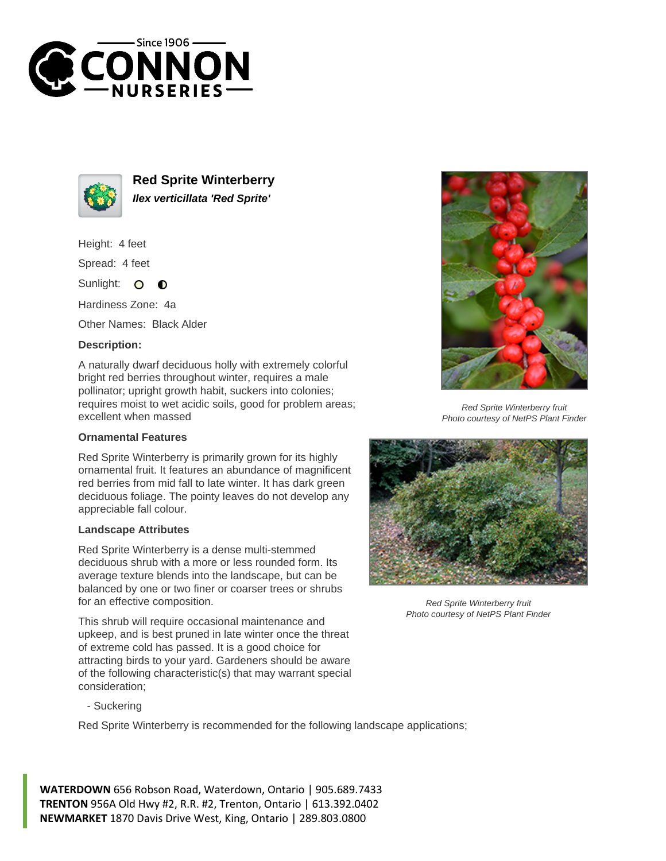



**Red Sprite Winterberry Ilex verticillata 'Red Sprite'**

Height: 4 feet

Spread: 4 feet

Sunlight: O  $\bullet$ 

Hardiness Zone: 4a

Other Names: Black Alder

## **Description:**

A naturally dwarf deciduous holly with extremely colorful bright red berries throughout winter, requires a male pollinator; upright growth habit, suckers into colonies; requires moist to wet acidic soils, good for problem areas; excellent when massed

## **Ornamental Features**

Red Sprite Winterberry is primarily grown for its highly ornamental fruit. It features an abundance of magnificent red berries from mid fall to late winter. It has dark green deciduous foliage. The pointy leaves do not develop any appreciable fall colour.

## **Landscape Attributes**

Red Sprite Winterberry is a dense multi-stemmed deciduous shrub with a more or less rounded form. Its average texture blends into the landscape, but can be balanced by one or two finer or coarser trees or shrubs for an effective composition.

This shrub will require occasional maintenance and upkeep, and is best pruned in late winter once the threat of extreme cold has passed. It is a good choice for attracting birds to your yard. Gardeners should be aware of the following characteristic(s) that may warrant special consideration;



Red Sprite Winterberry is recommended for the following landscape applications;

**WATERDOWN** 656 Robson Road, Waterdown, Ontario | 905.689.7433 **TRENTON** 956A Old Hwy #2, R.R. #2, Trenton, Ontario | 613.392.0402 **NEWMARKET** 1870 Davis Drive West, King, Ontario | 289.803.0800



Red Sprite Winterberry fruit Photo courtesy of NetPS Plant Finder



Red Sprite Winterberry fruit Photo courtesy of NetPS Plant Finder